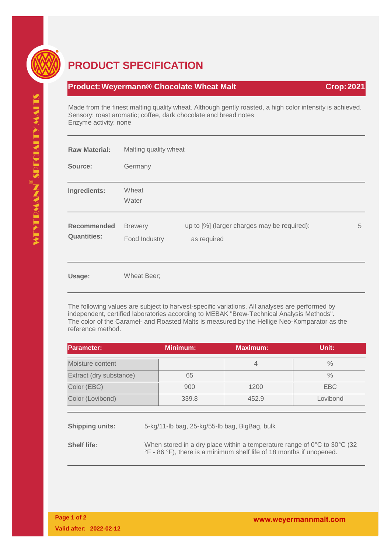

## **PRODUCT SPECIFICATION**

## **Product: Weyermann® Chocolate Wheat Malt Crop: 2021 Crop: 2021**

Made from the finest malting quality wheat. Although gently roasted, a high color intensity is achieved. Sensory: roast aromatic; coffee, dark chocolate and bread notes Enzyme activity: none

| <b>Raw Material:</b>                     | Malting quality wheat           |                                                            |   |
|------------------------------------------|---------------------------------|------------------------------------------------------------|---|
| Source:                                  | Germany                         |                                                            |   |
| Ingredients:                             | Wheat<br>Water                  |                                                            |   |
| <b>Recommended</b><br><b>Quantities:</b> | <b>Brewery</b><br>Food Industry | up to [%] (larger charges may be required):<br>as required | 5 |
| Usage:                                   | Wheat Beer;                     |                                                            |   |

The following values are subject to harvest-specific variations. All analyses are performed by independent, certified laboratories according to MEBAK "Brew-Technical Analysis Methods". The color of the Caramel- and Roasted Malts is measured by the Hellige Neo-Komparator as the reference method.

| <b>Parameter:</b>       | <b>Minimum:</b>                               | <b>Maximum:</b> | Unit:      |
|-------------------------|-----------------------------------------------|-----------------|------------|
| Moisture content        |                                               | $\overline{4}$  | $\%$       |
| Extract (dry substance) | 65                                            |                 | $\%$       |
| Color (EBC)             | 900                                           | 1200            | <b>EBC</b> |
| Color (Lovibond)        | 339.8                                         | 452.9           | Lovibond   |
|                         |                                               |                 |            |
| <b>Shipping units:</b>  | 5-kg/11-lb bag, 25-kg/55-lb bag, BigBag, bulk |                 |            |

**Shelf life:** When stored in a dry place within a temperature range of 0°C to 30°C (32 °F - 86 °F), there is a minimum shelf life of 18 months if unopened.